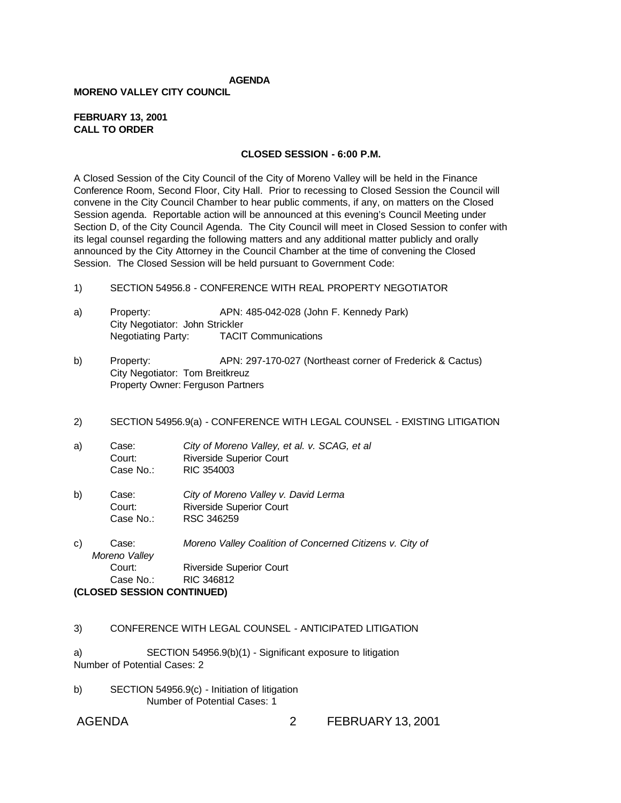## **AGENDA**

#### **MORENO VALLEY CITY COUNCIL**

#### **FEBRUARY 13, 2001 CALL TO ORDER**

#### **CLOSED SESSION - 6:00 P.M.**

A Closed Session of the City Council of the City of Moreno Valley will be held in the Finance Conference Room, Second Floor, City Hall. Prior to recessing to Closed Session the Council will convene in the City Council Chamber to hear public comments, if any, on matters on the Closed Session agenda. Reportable action will be announced at this evening's Council Meeting under Section D, of the City Council Agenda. The City Council will meet in Closed Session to confer with its legal counsel regarding the following matters and any additional matter publicly and orally announced by the City Attorney in the Council Chamber at the time of convening the Closed Session. The Closed Session will be held pursuant to Government Code:

- 1) SECTION 54956.8 CONFERENCE WITH REAL PROPERTY NEGOTIATOR
- a) Property: APN: 485-042-028 (John F. Kennedy Park) City Negotiator: John Strickler Negotiating Party: TACIT Communications
- b) Property: APN: 297-170-027 (Northeast corner of Frederick & Cactus) City Negotiator: Tom Breitkreuz Property Owner: Ferguson Partners
- 2) SECTION 54956.9(a) CONFERENCE WITH LEGAL COUNSEL EXISTING LITIGATION
- a) Case: *City of Moreno Valley, et al. v. SCAG, et al* Court: Riverside Superior Court Case No.: RIC 354003
- b) Case: *City of Moreno Valley v. David Lerma* Court: Riverside Superior Court Case No.: RSC 346259
- c) Case: *Moreno Valley Coalition of Concerned Citizens v. City of Moreno Valley* Court: Riverside Superior Court Case No.: RIC 346812 **(CLOSED SESSION CONTINUED)**
- 3) CONFERENCE WITH LEGAL COUNSEL ANTICIPATED LITIGATION

a) SECTION 54956.9(b)(1) - Significant exposure to litigation Number of Potential Cases: 2

b) SECTION 54956.9(c) - Initiation of litigation Number of Potential Cases: 1

# AGENDA 2 FEBRUARY 13, 2001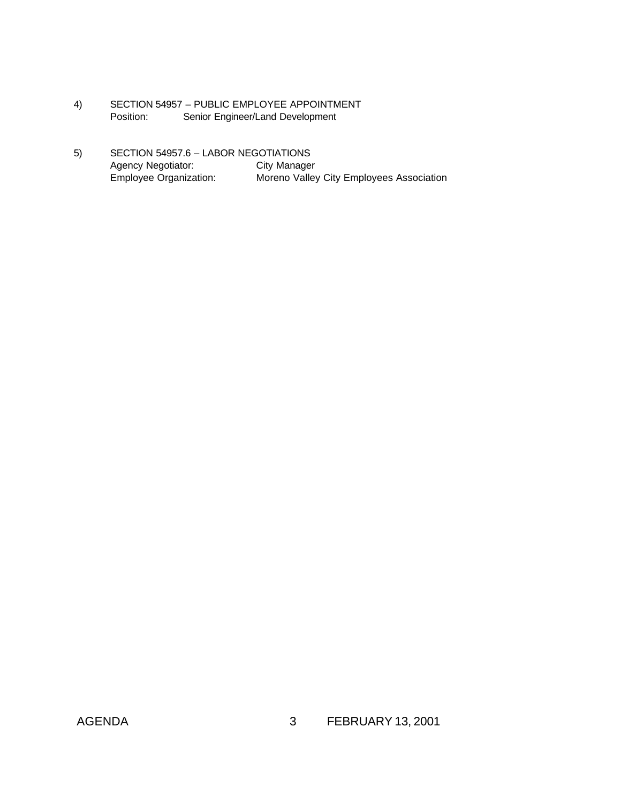- 4) SECTION 54957 PUBLIC EMPLOYEE APPOINTMENT Position: Senior Engineer/Land Development
- 5) SECTION 54957.6 LABOR NEGOTIATIONS Agency Negotiator: City Manager Employee Organization: Moreno Valley City Employees Association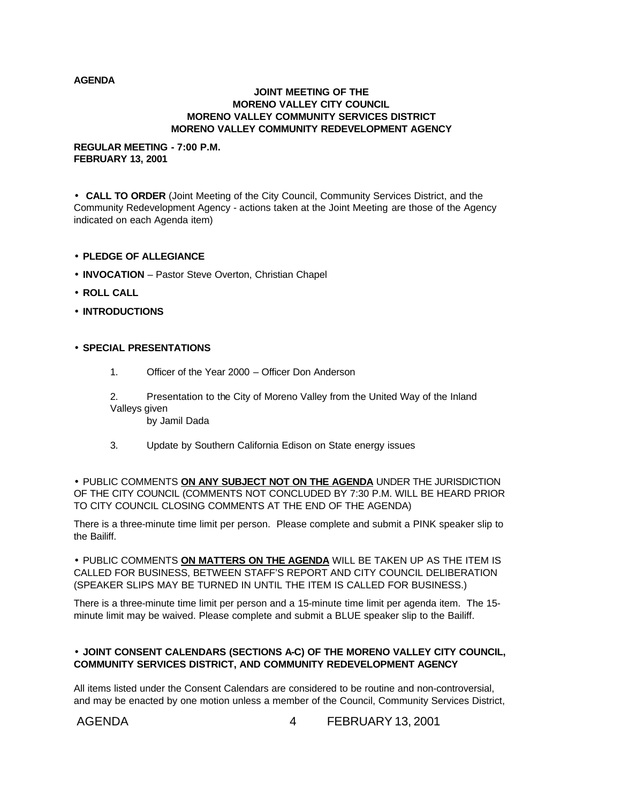#### **AGENDA**

#### **JOINT MEETING OF THE MORENO VALLEY CITY COUNCIL MORENO VALLEY COMMUNITY SERVICES DISTRICT MORENO VALLEY COMMUNITY REDEVELOPMENT AGENCY**

#### **REGULAR MEETING - 7:00 P.M. FEBRUARY 13, 2001**

• **CALL TO ORDER** (Joint Meeting of the City Council, Community Services District, and the Community Redevelopment Agency - actions taken at the Joint Meeting are those of the Agency indicated on each Agenda item)

- **PLEDGE OF ALLEGIANCE**
- **INVOCATION** Pastor Steve Overton, Christian Chapel
- **ROLL CALL**
- **INTRODUCTIONS**

## • **SPECIAL PRESENTATIONS**

1. Officer of the Year 2000 – Officer Don Anderson

2. Presentation to the City of Moreno Valley from the United Way of the Inland Valleys given by Jamil Dada

3. Update by Southern California Edison on State energy issues

• PUBLIC COMMENTS **ON ANY SUBJECT NOT ON THE AGENDA** UNDER THE JURISDICTION OF THE CITY COUNCIL (COMMENTS NOT CONCLUDED BY 7:30 P.M. WILL BE HEARD PRIOR TO CITY COUNCIL CLOSING COMMENTS AT THE END OF THE AGENDA)

There is a three-minute time limit per person. Please complete and submit a PINK speaker slip to the Bailiff.

• PUBLIC COMMENTS **ON MATTERS ON THE AGENDA** WILL BE TAKEN UP AS THE ITEM IS CALLED FOR BUSINESS, BETWEEN STAFF'S REPORT AND CITY COUNCIL DELIBERATION (SPEAKER SLIPS MAY BE TURNED IN UNTIL THE ITEM IS CALLED FOR BUSINESS.)

There is a three-minute time limit per person and a 15-minute time limit per agenda item. The 15 minute limit may be waived. Please complete and submit a BLUE speaker slip to the Bailiff.

## • **JOINT CONSENT CALENDARS (SECTIONS A-C) OF THE MORENO VALLEY CITY COUNCIL, COMMUNITY SERVICES DISTRICT, AND COMMUNITY REDEVELOPMENT AGENCY**

All items listed under the Consent Calendars are considered to be routine and non-controversial, and may be enacted by one motion unless a member of the Council, Community Services District,

AGENDA 4 FEBRUARY 13, 2001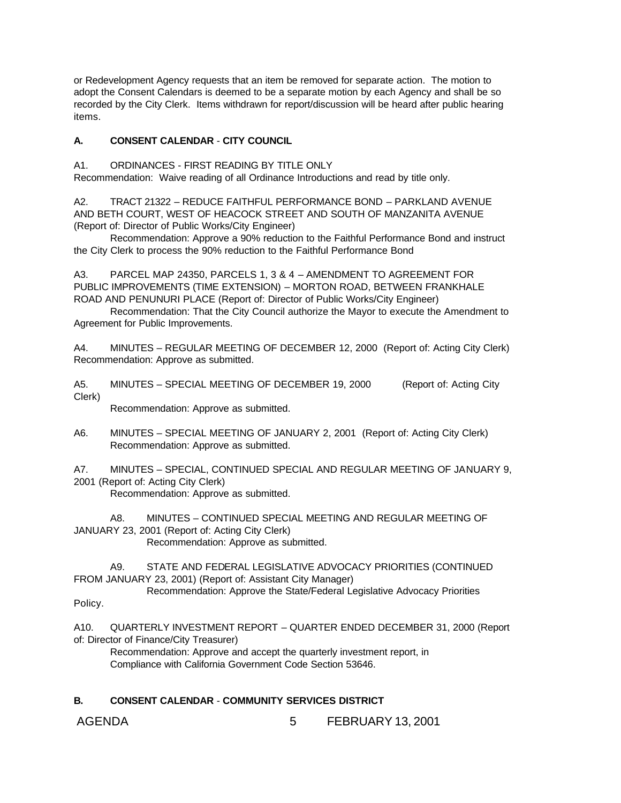or Redevelopment Agency requests that an item be removed for separate action. The motion to adopt the Consent Calendars is deemed to be a separate motion by each Agency and shall be so recorded by the City Clerk. Items withdrawn for report/discussion will be heard after public hearing items.

## **A. CONSENT CALENDAR** - **CITY COUNCIL**

A1. ORDINANCES - FIRST READING BY TITLE ONLY

Recommendation: Waive reading of all Ordinance Introductions and read by title only.

A2. TRACT 21322 – REDUCE FAITHFUL PERFORMANCE BOND – PARKLAND AVENUE AND BETH COURT, WEST OF HEACOCK STREET AND SOUTH OF MANZANITA AVENUE (Report of: Director of Public Works/City Engineer)

Recommendation: Approve a 90% reduction to the Faithful Performance Bond and instruct the City Clerk to process the 90% reduction to the Faithful Performance Bond

A3. PARCEL MAP 24350, PARCELS 1, 3 & 4 – AMENDMENT TO AGREEMENT FOR PUBLIC IMPROVEMENTS (TIME EXTENSION) – MORTON ROAD, BETWEEN FRANKHALE ROAD AND PENUNURI PLACE (Report of: Director of Public Works/City Engineer)

Recommendation: That the City Council authorize the Mayor to execute the Amendment to Agreement for Public Improvements.

A4. MINUTES – REGULAR MEETING OF DECEMBER 12, 2000 (Report of: Acting City Clerk) Recommendation: Approve as submitted.

A5. MINUTES – SPECIAL MEETING OF DECEMBER 19, 2000 (Report of: Acting City Clerk)

Recommendation: Approve as submitted.

- A6. MINUTES SPECIAL MEETING OF JANUARY 2, 2001 (Report of: Acting City Clerk) Recommendation: Approve as submitted.
- A7. MINUTES SPECIAL, CONTINUED SPECIAL AND REGULAR MEETING OF JANUARY 9,
- 2001 (Report of: Acting City Clerk)

Recommendation: Approve as submitted.

A8. MINUTES – CONTINUED SPECIAL MEETING AND REGULAR MEETING OF JANUARY 23, 2001 (Report of: Acting City Clerk) Recommendation: Approve as submitted.

A9. STATE AND FEDERAL LEGISLATIVE ADVOCACY PRIORITIES (CONTINUED FROM JANUARY 23, 2001) (Report of: Assistant City Manager) Recommendation: Approve the State/Federal Legislative Advocacy Priorities

Policy.

A10. QUARTERLY INVESTMENT REPORT – QUARTER ENDED DECEMBER 31, 2000 (Report of: Director of Finance/City Treasurer)

Recommendation: Approve and accept the quarterly investment report, in Compliance with California Government Code Section 53646.

## **B. CONSENT CALENDAR** - **COMMUNITY SERVICES DISTRICT**

AGENDA 6 FEBRUARY 13, 2001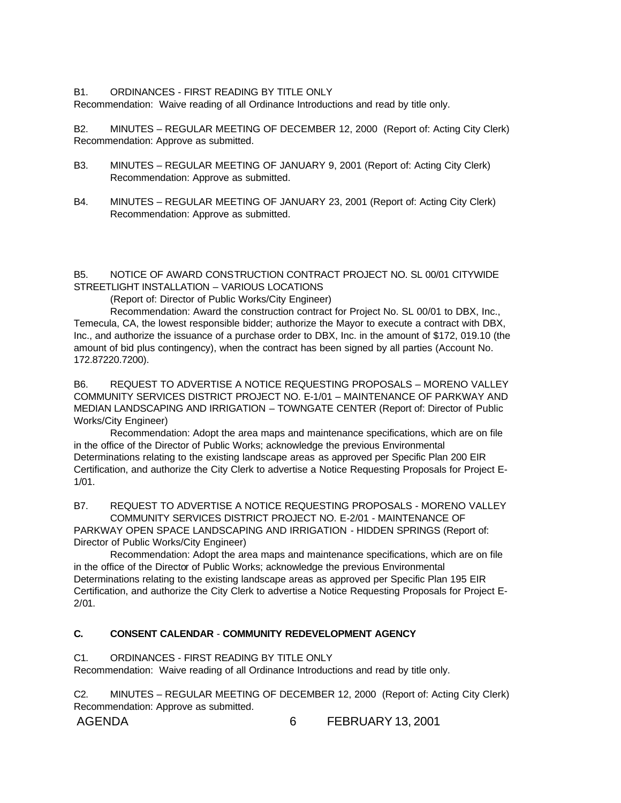#### B1. ORDINANCES - FIRST READING BY TITLE ONLY

Recommendation: Waive reading of all Ordinance Introductions and read by title only.

B2. MINUTES – REGULAR MEETING OF DECEMBER 12, 2000 (Report of: Acting City Clerk) Recommendation: Approve as submitted.

- B3. MINUTES REGULAR MEETING OF JANUARY 9, 2001 (Report of: Acting City Clerk) Recommendation: Approve as submitted.
- B4. MINUTES REGULAR MEETING OF JANUARY 23, 2001 (Report of: Acting City Clerk) Recommendation: Approve as submitted.

B5. NOTICE OF AWARD CONSTRUCTION CONTRACT PROJECT NO. SL 00/01 CITYWIDE STREETLIGHT INSTALLATION – VARIOUS LOCATIONS

(Report of: Director of Public Works/City Engineer)

Recommendation: Award the construction contract for Project No. SL 00/01 to DBX, Inc., Temecula, CA, the lowest responsible bidder; authorize the Mayor to execute a contract with DBX, Inc., and authorize the issuance of a purchase order to DBX, Inc. in the amount of \$172, 019.10 (the amount of bid plus contingency), when the contract has been signed by all parties (Account No. 172.87220.7200).

B6. REQUEST TO ADVERTISE A NOTICE REQUESTING PROPOSALS – MORENO VALLEY COMMUNITY SERVICES DISTRICT PROJECT NO. E-1/01 – MAINTENANCE OF PARKWAY AND MEDIAN LANDSCAPING AND IRRIGATION – TOWNGATE CENTER (Report of: Director of Public Works/City Engineer)

Recommendation: Adopt the area maps and maintenance specifications, which are on file in the office of the Director of Public Works; acknowledge the previous Environmental Determinations relating to the existing landscape areas as approved per Specific Plan 200 EIR Certification, and authorize the City Clerk to advertise a Notice Requesting Proposals for Project E-1/01.

B7. REQUEST TO ADVERTISE A NOTICE REQUESTING PROPOSALS - MORENO VALLEY COMMUNITY SERVICES DISTRICT PROJECT NO. E-2/01 - MAINTENANCE OF

PARKWAY OPEN SPACE LANDSCAPING AND IRRIGATION - HIDDEN SPRINGS (Report of: Director of Public Works/City Engineer)

Recommendation: Adopt the area maps and maintenance specifications, which are on file in the office of the Director of Public Works; acknowledge the previous Environmental Determinations relating to the existing landscape areas as approved per Specific Plan 195 EIR Certification, and authorize the City Clerk to advertise a Notice Requesting Proposals for Project E-2/01.

## **C. CONSENT CALENDAR** - **COMMUNITY REDEVELOPMENT AGENCY**

## C1. ORDINANCES - FIRST READING BY TITLE ONLY

Recommendation: Waive reading of all Ordinance Introductions and read by title only.

C2. MINUTES – REGULAR MEETING OF DECEMBER 12, 2000 (Report of: Acting City Clerk) Recommendation: Approve as submitted.

AGENDA 6 FEBRUARY 13, 2001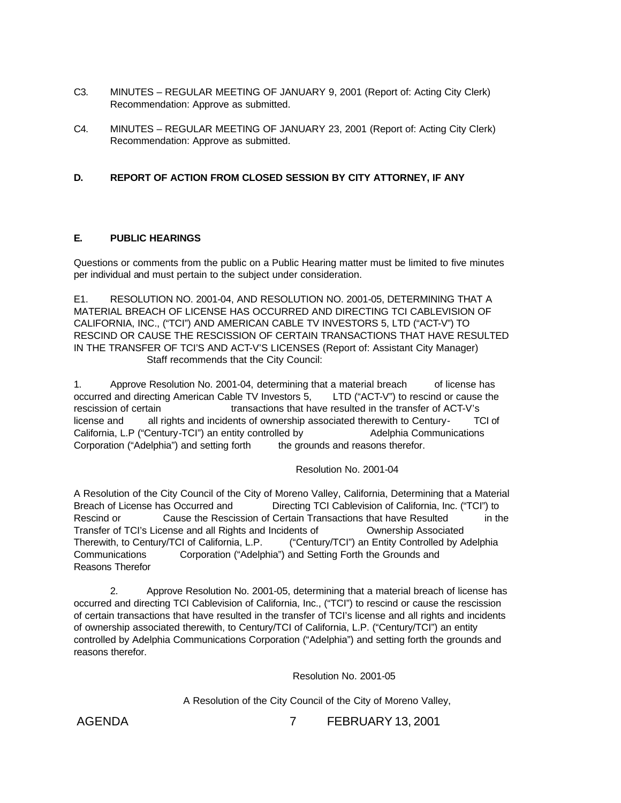- C3. MINUTES REGULAR MEETING OF JANUARY 9, 2001 (Report of: Acting City Clerk) Recommendation: Approve as submitted.
- C4. MINUTES REGULAR MEETING OF JANUARY 23, 2001 (Report of: Acting City Clerk) Recommendation: Approve as submitted.

## **D. REPORT OF ACTION FROM CLOSED SESSION BY CITY ATTORNEY, IF ANY**

#### **E. PUBLIC HEARINGS**

Questions or comments from the public on a Public Hearing matter must be limited to five minutes per individual and must pertain to the subject under consideration.

E1. RESOLUTION NO. 2001-04, AND RESOLUTION NO. 2001-05, DETERMINING THAT A MATERIAL BREACH OF LICENSE HAS OCCURRED AND DIRECTING TCI CABLEVISION OF CALIFORNIA, INC., ("TCI") AND AMERICAN CABLE TV INVESTORS 5, LTD ("ACT-V") TO RESCIND OR CAUSE THE RESCISSION OF CERTAIN TRANSACTIONS THAT HAVE RESULTED IN THE TRANSFER OF TCI'S AND ACT-V'S LICENSES (Report of: Assistant City Manager) Staff recommends that the City Council:

1. Approve Resolution No. 2001-04, determining that a material breach of license has occurred and directing American Cable TV Investors 5, LTD ("ACT-V") to rescind or cause the rescission of certain transactions that have resulted in the transfer of ACT-V's license and all rights and incidents of ownership associated therewith to Century- TCI of California, L.P ("Century-TCI") an entity controlled by Adelphia Communications Corporation ("Adelphia") and setting forth the grounds and reasons therefor.

Resolution No. 2001-04

A Resolution of the City Council of the City of Moreno Valley, California, Determining that a Material Breach of License has Occurred and Directing TCI Cablevision of California, Inc. ("TCI") to Rescind or Cause the Rescission of Certain Transactions that have Resulted in the Transfer of TCI's License and all Rights and Incidents of Ownership Associated Therewith, to Century/TCI of California, L.P. ("Century/TCI") an Entity Controlled by Adelphia Communications Corporation ("Adelphia") and Setting Forth the Grounds and Reasons Therefor

2. Approve Resolution No. 2001-05, determining that a material breach of license has occurred and directing TCI Cablevision of California, Inc., ("TCI") to rescind or cause the rescission of certain transactions that have resulted in the transfer of TCI's license and all rights and incidents of ownership associated therewith, to Century/TCI of California, L.P. ("Century/TCI") an entity controlled by Adelphia Communications Corporation ("Adelphia") and setting forth the grounds and reasons therefor.

Resolution No. 2001-05

A Resolution of the City Council of the City of Moreno Valley,

AGENDA 7 FEBRUARY 13, 2001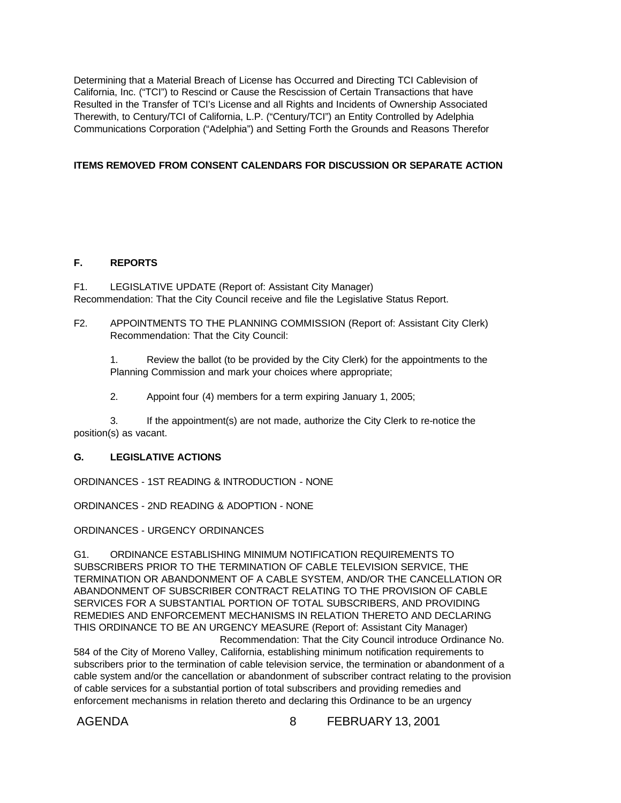Determining that a Material Breach of License has Occurred and Directing TCI Cablevision of California, Inc. ("TCI") to Rescind or Cause the Rescission of Certain Transactions that have Resulted in the Transfer of TCI's License and all Rights and Incidents of Ownership Associated Therewith, to Century/TCI of California, L.P. ("Century/TCI") an Entity Controlled by Adelphia Communications Corporation ("Adelphia") and Setting Forth the Grounds and Reasons Therefor

## **ITEMS REMOVED FROM CONSENT CALENDARS FOR DISCUSSION OR SEPARATE ACTION**

## **F. REPORTS**

F1. LEGISLATIVE UPDATE (Report of: Assistant City Manager) Recommendation: That the City Council receive and file the Legislative Status Report.

F2. APPOINTMENTS TO THE PLANNING COMMISSION (Report of: Assistant City Clerk) Recommendation: That the City Council:

1. Review the ballot (to be provided by the City Clerk) for the appointments to the Planning Commission and mark your choices where appropriate;

2. Appoint four (4) members for a term expiring January 1, 2005;

3. If the appointment(s) are not made, authorize the City Clerk to re-notice the position(s) as vacant.

## **G. LEGISLATIVE ACTIONS**

ORDINANCES - 1ST READING & INTRODUCTION - NONE

ORDINANCES - 2ND READING & ADOPTION - NONE

ORDINANCES - URGENCY ORDINANCES

G1. ORDINANCE ESTABLISHING MINIMUM NOTIFICATION REQUIREMENTS TO SUBSCRIBERS PRIOR TO THE TERMINATION OF CABLE TELEVISION SERVICE, THE TERMINATION OR ABANDONMENT OF A CABLE SYSTEM, AND/OR THE CANCELLATION OR ABANDONMENT OF SUBSCRIBER CONTRACT RELATING TO THE PROVISION OF CABLE SERVICES FOR A SUBSTANTIAL PORTION OF TOTAL SUBSCRIBERS, AND PROVIDING REMEDIES AND ENFORCEMENT MECHANISMS IN RELATION THERETO AND DECLARING THIS ORDINANCE TO BE AN URGENCY MEASURE (Report of: Assistant City Manager) Recommendation: That the City Council introduce Ordinance No.

584 of the City of Moreno Valley, California, establishing minimum notification requirements to subscribers prior to the termination of cable television service, the termination or abandonment of a cable system and/or the cancellation or abandonment of subscriber contract relating to the provision of cable services for a substantial portion of total subscribers and providing remedies and enforcement mechanisms in relation thereto and declaring this Ordinance to be an urgency

AGENDA 8 FEBRUARY 13, 2001